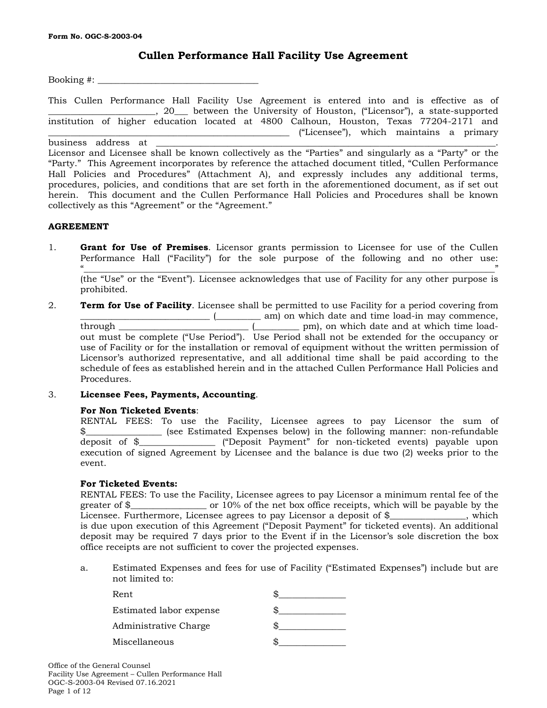## **Cullen Performance Hall Facility Use Agreement**

 $Booking \#$ :

This Cullen Performance Hall Facility Use Agreement is entered into and is effective as of \_\_\_\_\_\_\_\_\_\_\_\_\_\_\_\_\_\_\_\_\_\_\_\_, 20\_\_\_ between the University of Houston, ("Licensor"), a state-supported institution of higher education located at 4800 Calhoun, Houston, Texas 77204-2171 and \_\_\_\_\_\_\_\_\_\_\_\_\_\_\_\_\_\_\_\_\_\_\_\_\_\_\_\_\_\_\_\_\_\_\_\_\_\_\_\_\_\_\_\_\_\_\_\_\_\_\_\_\_\_ ("Licensee"), which maintains a primary

business address at \_\_\_\_\_\_\_\_\_\_\_\_\_\_\_\_\_\_\_\_\_\_\_\_\_\_\_\_\_\_\_\_\_\_\_\_\_\_\_\_\_\_\_\_\_\_\_\_\_\_\_\_\_\_\_\_\_\_\_\_\_\_\_\_\_\_\_\_\_\_\_\_\_\_\_\_. Licensor and Licensee shall be known collectively as the "Parties" and singularly as a "Party" or the "Party." This Agreement incorporates by reference the attached document titled, "Cullen Performance Hall Policies and Procedures" (Attachment A), and expressly includes any additional terms, procedures, policies, and conditions that are set forth in the aforementioned document, as if set out herein. This document and the Cullen Performance Hall Policies and Procedures shall be known collectively as this "Agreement" or the "Agreement."

## **AGREEMENT**

1. **Grant for Use of Premises**. Licensor grants permission to Licensee for use of the Cullen Performance Hall ("Facility") for the sole purpose of the following and no other use: "\_\_\_\_\_\_\_\_\_\_\_\_\_\_\_\_\_\_\_\_\_\_\_\_\_\_\_\_\_\_\_\_\_\_\_\_\_\_\_\_\_\_\_\_\_\_\_\_\_\_\_\_\_\_\_\_\_\_\_\_\_\_\_\_\_\_\_\_\_\_\_\_\_\_\_\_\_\_\_\_\_\_\_\_\_\_\_\_\_\_\_\_"

(the "Use" or the "Event"). Licensee acknowledges that use of Facility for any other purpose is prohibited.

2. **Term for Use of Facility**. Licensee shall be permitted to use Facility for a period covering from \_\_\_\_\_\_\_\_\_\_\_\_\_\_\_\_\_\_\_\_\_\_\_\_\_\_\_\_\_ (\_\_\_\_\_\_\_\_\_\_ am) on which date and time load-in may commence, through \_\_\_\_\_\_\_\_\_\_\_\_\_\_\_\_\_\_\_\_\_\_\_\_\_\_\_\_\_ (\_\_\_\_\_\_\_\_\_\_ pm), on which date and at which time loadout must be complete ("Use Period"). Use Period shall not be extended for the occupancy or use of Facility or for the installation or removal of equipment without the written permission of Licensor's authorized representative, and all additional time shall be paid according to the schedule of fees as established herein and in the attached Cullen Performance Hall Policies and Procedures.

## 3. **Licensee Fees, Payments, Accounting**.

## **For Non Ticketed Events**:

RENTAL FEES: To use the Facility, Licensee agrees to pay Licensor the sum of \$\_\_\_\_\_\_\_\_\_\_\_\_\_\_\_\_\_ (see Estimated Expenses below) in the following manner: non-refundable deposit of \$\_\_\_\_\_\_\_\_\_\_\_\_\_\_\_\_\_ ("Deposit Payment" for non-ticketed events) payable upon execution of signed Agreement by Licensee and the balance is due two (2) weeks prior to the event.

### **For Ticketed Events:**

RENTAL FEES: To use the Facility, Licensee agrees to pay Licensor a minimum rental fee of the greater of \$\_\_\_\_\_\_\_\_\_\_\_\_\_\_\_\_\_ or 10% of the net box office receipts, which will be payable by the Licensee. Furthermore, Licensee agrees to pay Licensor a deposit of \$\_\_\_\_\_\_\_\_\_\_\_\_, which is due upon execution of this Agreement ("Deposit Payment" for ticketed events). An additional deposit may be required 7 days prior to the Event if in the Licensor's sole discretion the box office receipts are not sufficient to cover the projected expenses.

a. Estimated Expenses and fees for use of Facility ("Estimated Expenses") include but are not limited to:

| Rent                    |  |
|-------------------------|--|
| Estimated labor expense |  |
| Administrative Charge   |  |
| Miscellaneous           |  |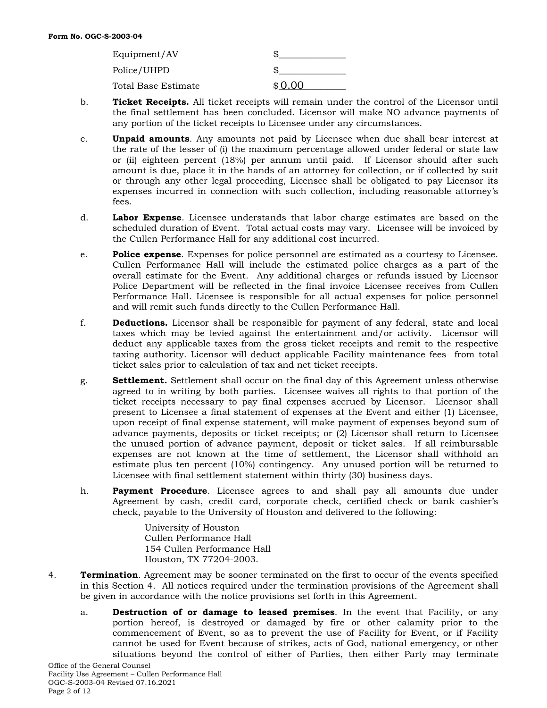| Equipment/AV        |         |
|---------------------|---------|
| Police/UHPD         |         |
| Total Base Estimate | $*0.00$ |

- b. **Ticket Receipts.** All ticket receipts will remain under the control of the Licensor until the final settlement has been concluded. Licensor will make NO advance payments of any portion of the ticket receipts to Licensee under any circumstances.
- c. **Unpaid amounts**. Any amounts not paid by Licensee when due shall bear interest at the rate of the lesser of (i) the maximum percentage allowed under federal or state law or (ii) eighteen percent (18%) per annum until paid. If Licensor should after such amount is due, place it in the hands of an attorney for collection, or if collected by suit or through any other legal proceeding, Licensee shall be obligated to pay Licensor its expenses incurred in connection with such collection, including reasonable attorney's fees.
- d. **Labor Expense**. Licensee understands that labor charge estimates are based on the scheduled duration of Event. Total actual costs may vary. Licensee will be invoiced by the Cullen Performance Hall for any additional cost incurred.
- e. **Police expense**. Expenses for police personnel are estimated as a courtesy to Licensee. Cullen Performance Hall will include the estimated police charges as a part of the overall estimate for the Event. Any additional charges or refunds issued by Licensor Police Department will be reflected in the final invoice Licensee receives from Cullen Performance Hall. Licensee is responsible for all actual expenses for police personnel and will remit such funds directly to the Cullen Performance Hall.
- f. **Deductions.** Licensor shall be responsible for payment of any federal, state and local taxes which may be levied against the entertainment and/or activity. Licensor will deduct any applicable taxes from the gross ticket receipts and remit to the respective taxing authority. Licensor will deduct applicable Facility maintenance fees from total ticket sales prior to calculation of tax and net ticket receipts.
- g. **Settlement.** Settlement shall occur on the final day of this Agreement unless otherwise agreed to in writing by both parties. Licensee waives all rights to that portion of the ticket receipts necessary to pay final expenses accrued by Licensor. Licensor shall present to Licensee a final statement of expenses at the Event and either (1) Licensee, upon receipt of final expense statement, will make payment of expenses beyond sum of advance payments, deposits or ticket receipts; or (2) Licensor shall return to Licensee the unused portion of advance payment, deposit or ticket sales. If all reimbursable expenses are not known at the time of settlement, the Licensor shall withhold an estimate plus ten percent (10%) contingency. Any unused portion will be returned to Licensee with final settlement statement within thirty (30) business days.
- h. **Payment Procedure**. Licensee agrees to and shall pay all amounts due under Agreement by cash, credit card, corporate check, certified check or bank cashier's check, payable to the University of Houston and delivered to the following:

University of Houston Cullen Performance Hall 154 Cullen Performance Hall Houston, TX 77204-2003.

- 4. **Termination**. Agreement may be sooner terminated on the first to occur of the events specified in this Section 4. All notices required under the termination provisions of the Agreement shall be given in accordance with the notice provisions set forth in this Agreement.
	- a. **Destruction of or damage to leased premises**. In the event that Facility, or any portion hereof, is destroyed or damaged by fire or other calamity prior to the commencement of Event, so as to prevent the use of Facility for Event, or if Facility cannot be used for Event because of strikes, acts of God, national emergency, or other situations beyond the control of either of Parties, then either Party may terminate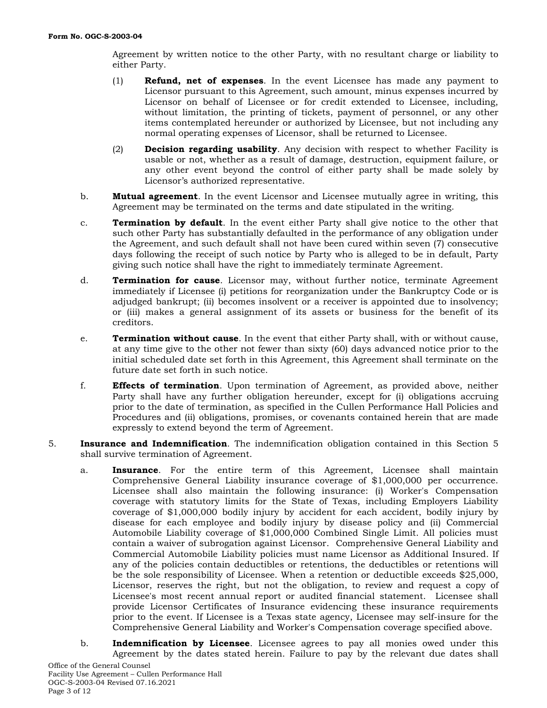Agreement by written notice to the other Party, with no resultant charge or liability to either Party.

- (1) **Refund, net of expenses**. In the event Licensee has made any payment to Licensor pursuant to this Agreement, such amount, minus expenses incurred by Licensor on behalf of Licensee or for credit extended to Licensee, including, without limitation, the printing of tickets, payment of personnel, or any other items contemplated hereunder or authorized by Licensee, but not including any normal operating expenses of Licensor, shall be returned to Licensee.
- (2) **Decision regarding usability**. Any decision with respect to whether Facility is usable or not, whether as a result of damage, destruction, equipment failure, or any other event beyond the control of either party shall be made solely by Licensor's authorized representative.
- b. **Mutual agreement**. In the event Licensor and Licensee mutually agree in writing, this Agreement may be terminated on the terms and date stipulated in the writing.
- c. **Termination by default**. In the event either Party shall give notice to the other that such other Party has substantially defaulted in the performance of any obligation under the Agreement, and such default shall not have been cured within seven (7) consecutive days following the receipt of such notice by Party who is alleged to be in default, Party giving such notice shall have the right to immediately terminate Agreement.
- d. **Termination for cause**. Licensor may, without further notice, terminate Agreement immediately if Licensee (i) petitions for reorganization under the Bankruptcy Code or is adjudged bankrupt; (ii) becomes insolvent or a receiver is appointed due to insolvency; or (iii) makes a general assignment of its assets or business for the benefit of its creditors.
- e. **Termination without cause**. In the event that either Party shall, with or without cause, at any time give to the other not fewer than sixty (60) days advanced notice prior to the initial scheduled date set forth in this Agreement, this Agreement shall terminate on the future date set forth in such notice.
- f. **Effects of termination**. Upon termination of Agreement, as provided above, neither Party shall have any further obligation hereunder, except for (i) obligations accruing prior to the date of termination, as specified in the Cullen Performance Hall Policies and Procedures and (ii) obligations, promises, or covenants contained herein that are made expressly to extend beyond the term of Agreement.
- 5. **Insurance and Indemnification**. The indemnification obligation contained in this Section 5 shall survive termination of Agreement.
	- a. **Insurance**. For the entire term of this Agreement, Licensee shall maintain Comprehensive General Liability insurance coverage of \$1,000,000 per occurrence. Licensee shall also maintain the following insurance: (i) Worker's Compensation coverage with statutory limits for the State of Texas, including Employers Liability coverage of \$1,000,000 bodily injury by accident for each accident, bodily injury by disease for each employee and bodily injury by disease policy and (ii) Commercial Automobile Liability coverage of \$1,000,000 Combined Single Limit. All policies must contain a waiver of subrogation against Licensor. Comprehensive General Liability and Commercial Automobile Liability policies must name Licensor as Additional Insured. If any of the policies contain deductibles or retentions, the deductibles or retentions will be the sole responsibility of Licensee. When a retention or deductible exceeds \$25,000, Licensor, reserves the right, but not the obligation, to review and request a copy of Licensee's most recent annual report or audited financial statement. Licensee shall provide Licensor Certificates of Insurance evidencing these insurance requirements prior to the event. If Licensee is a Texas state agency, Licensee may self-insure for the Comprehensive General Liability and Worker's Compensation coverage specified above.
	- b. **Indemnification by Licensee**. Licensee agrees to pay all monies owed under this Agreement by the dates stated herein. Failure to pay by the relevant due dates shall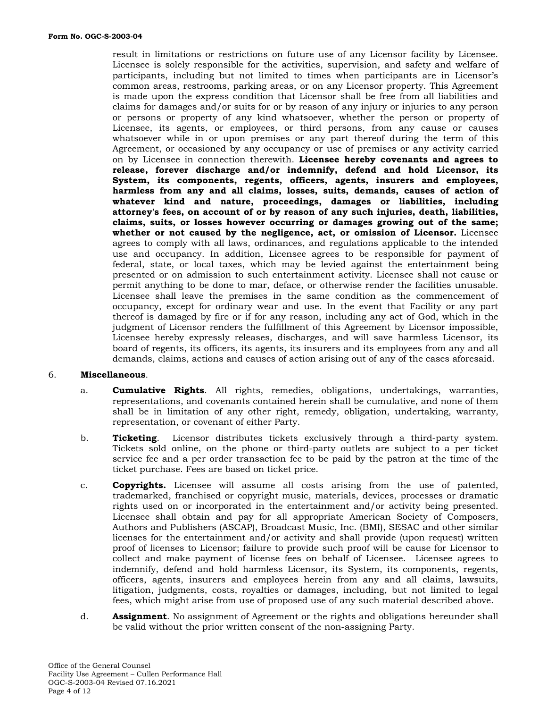result in limitations or restrictions on future use of any Licensor facility by Licensee. Licensee is solely responsible for the activities, supervision, and safety and welfare of participants, including but not limited to times when participants are in Licensor's common areas, restrooms, parking areas, or on any Licensor property. This Agreement is made upon the express condition that Licensor shall be free from all liabilities and claims for damages and/or suits for or by reason of any injury or injuries to any person or persons or property of any kind whatsoever, whether the person or property of Licensee, its agents, or employees, or third persons, from any cause or causes whatsoever while in or upon premises or any part thereof during the term of this Agreement, or occasioned by any occupancy or use of premises or any activity carried on by Licensee in connection therewith. **Licensee hereby covenants and agrees to release, forever discharge and/or indemnify, defend and hold Licensor, its System, its components, regents, officers, agents, insurers and employees, harmless from any and all claims, losses, suits, demands, causes of action of whatever kind and nature, proceedings, damages or liabilities, including attorney's fees, on account of or by reason of any such injuries, death, liabilities, claims, suits, or losses however occurring or damages growing out of the same; whether or not caused by the negligence, act, or omission of Licensor.** Licensee agrees to comply with all laws, ordinances, and regulations applicable to the intended use and occupancy. In addition, Licensee agrees to be responsible for payment of federal, state, or local taxes, which may be levied against the entertainment being presented or on admission to such entertainment activity. Licensee shall not cause or permit anything to be done to mar, deface, or otherwise render the facilities unusable. Licensee shall leave the premises in the same condition as the commencement of occupancy, except for ordinary wear and use. In the event that Facility or any part thereof is damaged by fire or if for any reason, including any act of God, which in the judgment of Licensor renders the fulfillment of this Agreement by Licensor impossible, Licensee hereby expressly releases, discharges, and will save harmless Licensor, its board of regents, its officers, its agents, its insurers and its employees from any and all demands, claims, actions and causes of action arising out of any of the cases aforesaid.

## 6. **Miscellaneous**.

- a. **Cumulative Rights**. All rights, remedies, obligations, undertakings, warranties, representations, and covenants contained herein shall be cumulative, and none of them shall be in limitation of any other right, remedy, obligation, undertaking, warranty, representation, or covenant of either Party.
- b. **Ticketing**. Licensor distributes tickets exclusively through a third-party system. Tickets sold online, on the phone or third-party outlets are subject to a per ticket service fee and a per order transaction fee to be paid by the patron at the time of the ticket purchase. Fees are based on ticket price.
- c. **Copyrights.** Licensee will assume all costs arising from the use of patented, trademarked, franchised or copyright music, materials, devices, processes or dramatic rights used on or incorporated in the entertainment and/or activity being presented. Licensee shall obtain and pay for all appropriate American Society of Composers, Authors and Publishers (ASCAP), Broadcast Music, Inc. (BMI), SESAC and other similar licenses for the entertainment and/or activity and shall provide (upon request) written proof of licenses to Licensor; failure to provide such proof will be cause for Licensor to collect and make payment of license fees on behalf of Licensee. Licensee agrees to indemnify, defend and hold harmless Licensor, its System, its components, regents, officers, agents, insurers and employees herein from any and all claims, lawsuits, litigation, judgments, costs, royalties or damages, including, but not limited to legal fees, which might arise from use of proposed use of any such material described above.
- d. **Assignment**. No assignment of Agreement or the rights and obligations hereunder shall be valid without the prior written consent of the non-assigning Party.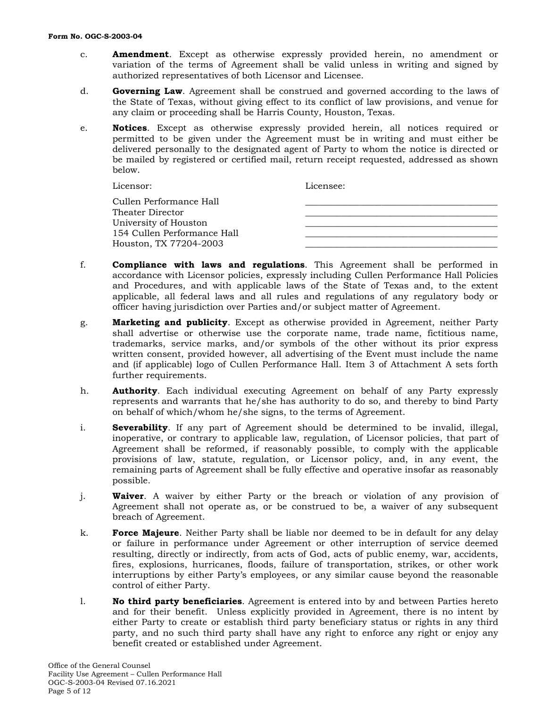- c. **Amendment**. Except as otherwise expressly provided herein, no amendment or variation of the terms of Agreement shall be valid unless in writing and signed by authorized representatives of both Licensor and Licensee.
- d. **Governing Law**. Agreement shall be construed and governed according to the laws of the State of Texas, without giving effect to its conflict of law provisions, and venue for any claim or proceeding shall be Harris County, Houston, Texas.
- e. **Notices**. Except as otherwise expressly provided herein, all notices required or permitted to be given under the Agreement must be in writing and must either be delivered personally to the designated agent of Party to whom the notice is directed or be mailed by registered or certified mail, return receipt requested, addressed as shown below.

| Licensor:                   | Licensee: |
|-----------------------------|-----------|
| Cullen Performance Hall     |           |
| Theater Director            |           |
| University of Houston       |           |
| 154 Cullen Performance Hall |           |
| Houston, TX 77204-2003      |           |

- f. **Compliance with laws and regulations**. This Agreement shall be performed in accordance with Licensor policies, expressly including Cullen Performance Hall Policies and Procedures, and with applicable laws of the State of Texas and, to the extent applicable, all federal laws and all rules and regulations of any regulatory body or officer having jurisdiction over Parties and/or subject matter of Agreement.
- g. **Marketing and publicity**. Except as otherwise provided in Agreement, neither Party shall advertise or otherwise use the corporate name, trade name, fictitious name, trademarks, service marks, and/or symbols of the other without its prior express written consent, provided however, all advertising of the Event must include the name and (if applicable) logo of Cullen Performance Hall. Item 3 of Attachment A sets forth further requirements.
- h. **Authority**. Each individual executing Agreement on behalf of any Party expressly represents and warrants that he/she has authority to do so, and thereby to bind Party on behalf of which/whom he/she signs, to the terms of Agreement.
- i. **Severability**. If any part of Agreement should be determined to be invalid, illegal, inoperative, or contrary to applicable law, regulation, of Licensor policies, that part of Agreement shall be reformed, if reasonably possible, to comply with the applicable provisions of law, statute, regulation, or Licensor policy, and, in any event, the remaining parts of Agreement shall be fully effective and operative insofar as reasonably possible.
- j. **Waiver**. A waiver by either Party or the breach or violation of any provision of Agreement shall not operate as, or be construed to be, a waiver of any subsequent breach of Agreement.
- k. **Force Majeure**. Neither Party shall be liable nor deemed to be in default for any delay or failure in performance under Agreement or other interruption of service deemed resulting, directly or indirectly, from acts of God, acts of public enemy, war, accidents, fires, explosions, hurricanes, floods, failure of transportation, strikes, or other work interruptions by either Party's employees, or any similar cause beyond the reasonable control of either Party.
- l. **No third party beneficiaries**. Agreement is entered into by and between Parties hereto and for their benefit. Unless explicitly provided in Agreement, there is no intent by either Party to create or establish third party beneficiary status or rights in any third party, and no such third party shall have any right to enforce any right or enjoy any benefit created or established under Agreement.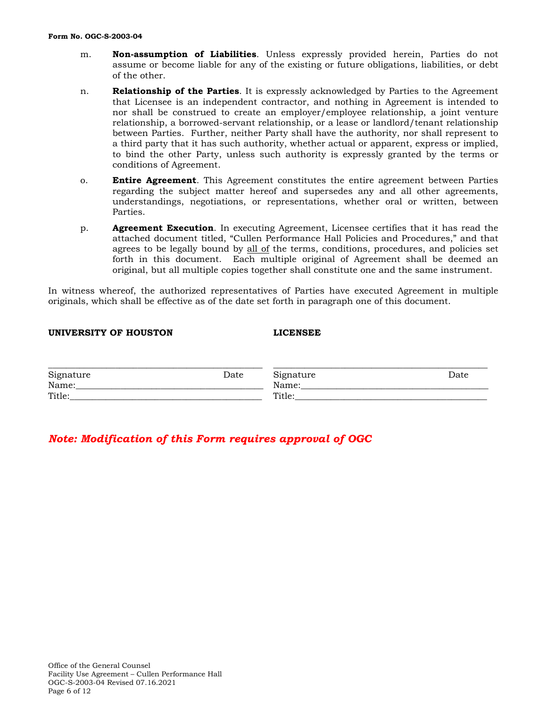- m. **Non-assumption of Liabilities**. Unless expressly provided herein, Parties do not assume or become liable for any of the existing or future obligations, liabilities, or debt of the other.
- n. **Relationship of the Parties**. It is expressly acknowledged by Parties to the Agreement that Licensee is an independent contractor, and nothing in Agreement is intended to nor shall be construed to create an employer/employee relationship, a joint venture relationship, a borrowed-servant relationship, or a lease or landlord/tenant relationship between Parties. Further, neither Party shall have the authority, nor shall represent to a third party that it has such authority, whether actual or apparent, express or implied, to bind the other Party, unless such authority is expressly granted by the terms or conditions of Agreement.
- o. **Entire Agreement**. This Agreement constitutes the entire agreement between Parties regarding the subject matter hereof and supersedes any and all other agreements, understandings, negotiations, or representations, whether oral or written, between Parties.
- p. **Agreement Execution**. In executing Agreement, Licensee certifies that it has read the attached document titled, "Cullen Performance Hall Policies and Procedures," and that agrees to be legally bound by all of the terms, conditions, procedures, and policies set forth in this document. Each multiple original of Agreement shall be deemed an original, but all multiple copies together shall constitute one and the same instrument.

In witness whereof, the authorized representatives of Parties have executed Agreement in multiple originals, which shall be effective as of the date set forth in paragraph one of this document.

### **UNIVERSITY OF HOUSTON LICENSEE**

| Signature | Date | Signature | Date |
|-----------|------|-----------|------|
| Name:     |      | Name:     |      |
| Title:    |      | Title:    |      |

*Note: Modification of this Form requires approval of OGC*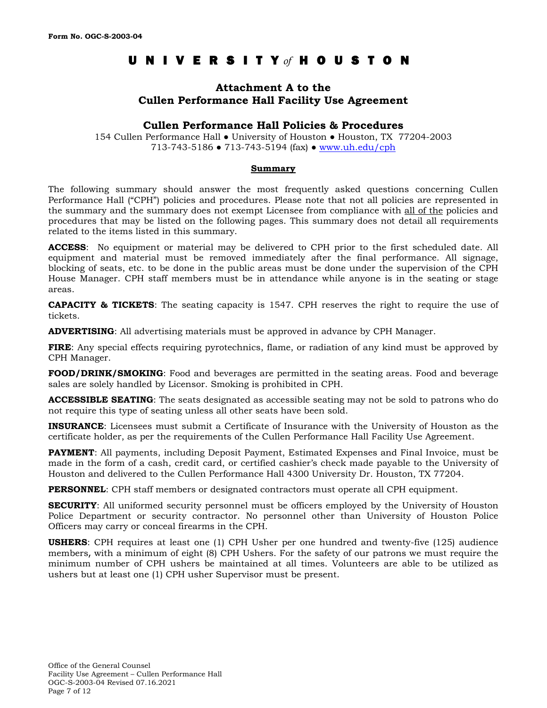# UNIVERSIT Y *of* HOUSTON

## **Attachment A to the Cullen Performance Hall Facility Use Agreement**

## **Cullen Performance Hall Policies & Procedures**

154 Cullen Performance Hall ● University of Houston ● Houston, TX 77204-2003 713-743-5186 ● 713-743-5194 (fax) ● [www.uh.edu/cph](http://www.uh.edu/cph)

### **Summary**

The following summary should answer the most frequently asked questions concerning Cullen Performance Hall ("CPH") policies and procedures. Please note that not all policies are represented in the summary and the summary does not exempt Licensee from compliance with all of the policies and procedures that may be listed on the following pages. This summary does not detail all requirements related to the items listed in this summary.

**ACCESS**: No equipment or material may be delivered to CPH prior to the first scheduled date. All equipment and material must be removed immediately after the final performance. All signage, blocking of seats, etc. to be done in the public areas must be done under the supervision of the CPH House Manager. CPH staff members must be in attendance while anyone is in the seating or stage areas.

**CAPACITY & TICKETS**: The seating capacity is 1547. CPH reserves the right to require the use of tickets.

**ADVERTISING**: All advertising materials must be approved in advance by CPH Manager.

**FIRE**: Any special effects requiring pyrotechnics, flame, or radiation of any kind must be approved by CPH Manager.

**FOOD/DRINK/SMOKING**: Food and beverages are permitted in the seating areas. Food and beverage sales are solely handled by Licensor. Smoking is prohibited in CPH.

**ACCESSIBLE SEATING**: The seats designated as accessible seating may not be sold to patrons who do not require this type of seating unless all other seats have been sold.

**INSURANCE**: Licensees must submit a Certificate of Insurance with the University of Houston as the certificate holder, as per the requirements of the Cullen Performance Hall Facility Use Agreement.

**PAYMENT:** All payments, including Deposit Payment, Estimated Expenses and Final Invoice, must be made in the form of a cash, credit card, or certified cashier's check made payable to the University of Houston and delivered to the Cullen Performance Hall 4300 University Dr. Houston, TX 77204.

**PERSONNEL**: CPH staff members or designated contractors must operate all CPH equipment.

**SECURITY:** All uniformed security personnel must be officers employed by the University of Houston Police Department or security contractor. No personnel other than University of Houston Police Officers may carry or conceal firearms in the CPH.

**USHERS**: CPH requires at least one (1) CPH Usher per one hundred and twenty-five (125) audience members, with a minimum of eight (8) CPH Ushers. For the safety of our patrons we must require the minimum number of CPH ushers be maintained at all times. Volunteers are able to be utilized as ushers but at least one (1) CPH usher Supervisor must be present.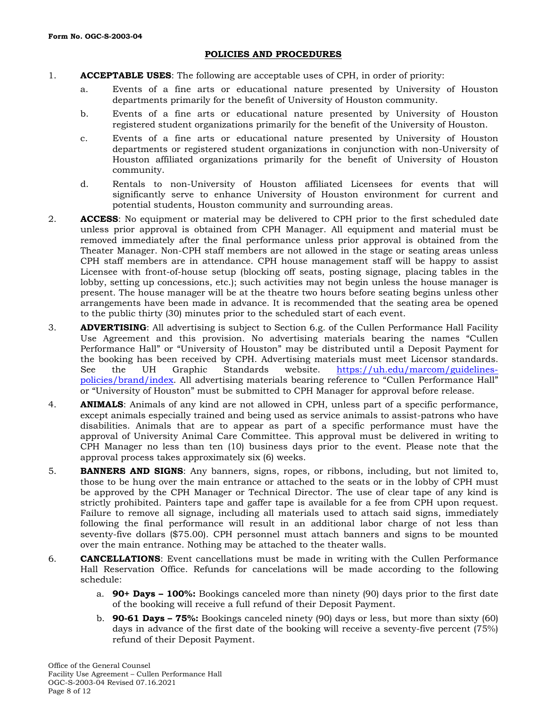## **POLICIES AND PROCEDURES**

- 1. **ACCEPTABLE USES**: The following are acceptable uses of CPH, in order of priority:
	- a. Events of a fine arts or educational nature presented by University of Houston departments primarily for the benefit of University of Houston community.
	- b. Events of a fine arts or educational nature presented by University of Houston registered student organizations primarily for the benefit of the University of Houston.
	- c. Events of a fine arts or educational nature presented by University of Houston departments or registered student organizations in conjunction with non-University of Houston affiliated organizations primarily for the benefit of University of Houston community.
	- d. Rentals to non-University of Houston affiliated Licensees for events that will significantly serve to enhance University of Houston environment for current and potential students, Houston community and surrounding areas.
- 2. **ACCESS**: No equipment or material may be delivered to CPH prior to the first scheduled date unless prior approval is obtained from CPH Manager. All equipment and material must be removed immediately after the final performance unless prior approval is obtained from the Theater Manager. Non-CPH staff members are not allowed in the stage or seating areas unless CPH staff members are in attendance. CPH house management staff will be happy to assist Licensee with front-of-house setup (blocking off seats, posting signage, placing tables in the lobby, setting up concessions, etc.); such activities may not begin unless the house manager is present. The house manager will be at the theatre two hours before seating begins unless other arrangements have been made in advance. It is recommended that the seating area be opened to the public thirty (30) minutes prior to the scheduled start of each event.
- 3. **ADVERTISING**: All advertising is subject to Section 6.g. of the Cullen Performance Hall Facility Use Agreement and this provision. No advertising materials bearing the names "Cullen Performance Hall" or "University of Houston" may be distributed until a Deposit Payment for the booking has been received by CPH. Advertising materials must meet Licensor standards. See the UH Graphic Standards website. [https://uh.edu/marcom/guidelines](http://www.advancement.uh.edu/graphicstandards/)[policies/brand/index.](http://www.advancement.uh.edu/graphicstandards/) All advertising materials bearing reference to "Cullen Performance Hall" or "University of Houston" must be submitted to CPH Manager for approval before release.
- 4. **ANIMALS**: Animals of any kind are not allowed in CPH, unless part of a specific performance, except animals especially trained and being used as service animals to assist-patrons who have disabilities. Animals that are to appear as part of a specific performance must have the approval of University Animal Care Committee. This approval must be delivered in writing to CPH Manager no less than ten (10) business days prior to the event. Please note that the approval process takes approximately six (6) weeks.
- 5. **BANNERS AND SIGNS**: Any banners, signs, ropes, or ribbons, including, but not limited to, those to be hung over the main entrance or attached to the seats or in the lobby of CPH must be approved by the CPH Manager or Technical Director. The use of clear tape of any kind is strictly prohibited. Painters tape and gaffer tape is available for a fee from CPH upon request. Failure to remove all signage, including all materials used to attach said signs, immediately following the final performance will result in an additional labor charge of not less than seventy-five dollars (\$75.00). CPH personnel must attach banners and signs to be mounted over the main entrance. Nothing may be attached to the theater walls.
- 6. **CANCELLATIONS**: Event cancellations must be made in writing with the Cullen Performance Hall Reservation Office. Refunds for cancelations will be made according to the following schedule:
	- a. **90+ Days – 100%:** Bookings canceled more than ninety (90) days prior to the first date of the booking will receive a full refund of their Deposit Payment.
	- b. **90-61 Days – 75%:** Bookings canceled ninety (90) days or less, but more than sixty (60) days in advance of the first date of the booking will receive a seventy-five percent (75%) refund of their Deposit Payment.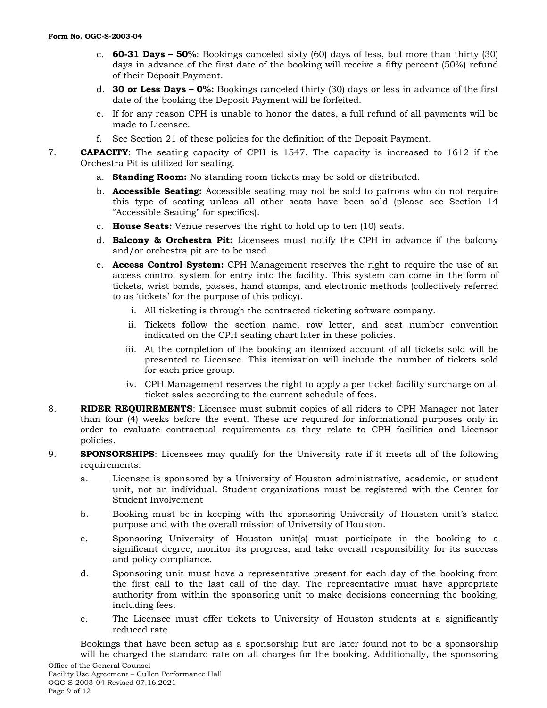- c. **60-31 Days – 50%**: Bookings canceled sixty (60) days of less, but more than thirty (30) days in advance of the first date of the booking will receive a fifty percent (50%) refund of their Deposit Payment.
- d. **30 or Less Days – 0%:** Bookings canceled thirty (30) days or less in advance of the first date of the booking the Deposit Payment will be forfeited.
- e. If for any reason CPH is unable to honor the dates, a full refund of all payments will be made to Licensee.
- f. See Section 21 of these policies for the definition of the Deposit Payment.
- 7. **CAPACITY**: The seating capacity of CPH is 1547. The capacity is increased to 1612 if the Orchestra Pit is utilized for seating.
	- a. **Standing Room:** No standing room tickets may be sold or distributed.
	- b. **Accessible Seating:** Accessible seating may not be sold to patrons who do not require this type of seating unless all other seats have been sold (please see Section 14 "Accessible Seating" for specifics).
	- c. **House Seats:** Venue reserves the right to hold up to ten (10) seats.
	- d. **Balcony & Orchestra Pit:** Licensees must notify the CPH in advance if the balcony and/or orchestra pit are to be used.
	- e. **Access Control System:** CPH Management reserves the right to require the use of an access control system for entry into the facility. This system can come in the form of tickets, wrist bands, passes, hand stamps, and electronic methods (collectively referred to as 'tickets' for the purpose of this policy).
		- i. All ticketing is through the contracted ticketing software company.
		- ii. Tickets follow the section name, row letter, and seat number convention indicated on the CPH seating chart later in these policies.
		- iii. At the completion of the booking an itemized account of all tickets sold will be presented to Licensee. This itemization will include the number of tickets sold for each price group.
		- iv. CPH Management reserves the right to apply a per ticket facility surcharge on all ticket sales according to the current schedule of fees.
- 8. **RIDER REQUIREMENTS**: Licensee must submit copies of all riders to CPH Manager not later than four (4) weeks before the event. These are required for informational purposes only in order to evaluate contractual requirements as they relate to CPH facilities and Licensor policies.
- 9. **SPONSORSHIPS**: Licensees may qualify for the University rate if it meets all of the following requirements:
	- a. Licensee is sponsored by a University of Houston administrative, academic, or student unit, not an individual. Student organizations must be registered with the Center for Student Involvement
	- b. Booking must be in keeping with the sponsoring University of Houston unit's stated purpose and with the overall mission of University of Houston.
	- c. Sponsoring University of Houston unit(s) must participate in the booking to a significant degree, monitor its progress, and take overall responsibility for its success and policy compliance.
	- d. Sponsoring unit must have a representative present for each day of the booking from the first call to the last call of the day. The representative must have appropriate authority from within the sponsoring unit to make decisions concerning the booking, including fees.
	- e. The Licensee must offer tickets to University of Houston students at a significantly reduced rate.

Bookings that have been setup as a sponsorship but are later found not to be a sponsorship will be charged the standard rate on all charges for the booking. Additionally, the sponsoring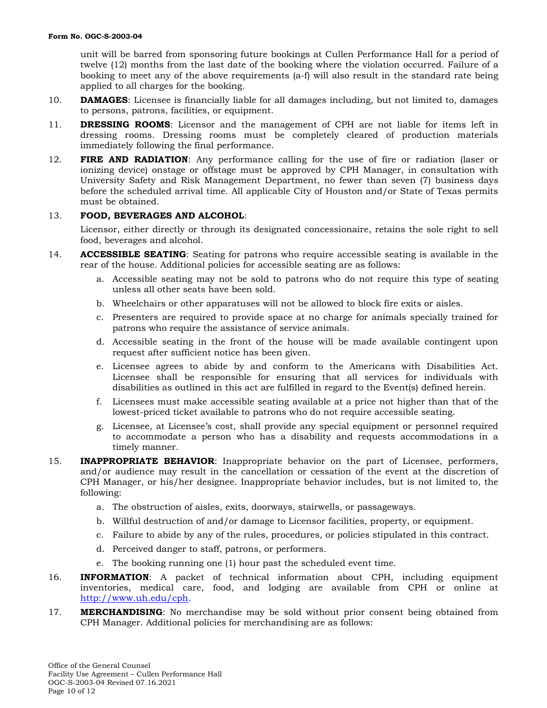unit will be barred from sponsoring future bookings at Cullen Performance Hall for a period of twelve (12) months from the last date of the booking where the violation occurred. Failure of a booking to meet any of the above requirements (a-f) will also result in the standard rate being applied to all charges for the booking.

- 10. **DAMAGES**: Licensee is financially liable for all damages including, but not limited to, damages to persons, patrons, facilities, or equipment.
- 11. **DRESSING ROOMS**: Licensor and the management of CPH are not liable for items left in dressing rooms. Dressing rooms must be completely cleared of production materials immediately following the final performance.
- 12. **FIRE AND RADIATION**: Any performance calling for the use of fire or radiation (laser or ionizing device) onstage or offstage must be approved by CPH Manager, in consultation with University Safety and Risk Management Department, no fewer than seven (7) business days before the scheduled arrival time. All applicable City of Houston and/or State of Texas permits must be obtained.

## 13. **FOOD, BEVERAGES AND ALCOHOL**:

Licensor, either directly or through its designated concessionaire, retains the sole right to sell food, beverages and alcohol.

- 14. **ACCESSIBLE SEATING**: Seating for patrons who require accessible seating is available in the rear of the house. Additional policies for accessible seating are as follows:
	- a. Accessible seating may not be sold to patrons who do not require this type of seating unless all other seats have been sold.
	- b. Wheelchairs or other apparatuses will not be allowed to block fire exits or aisles.
	- c. Presenters are required to provide space at no charge for animals specially trained for patrons who require the assistance of service animals.
	- d. Accessible seating in the front of the house will be made available contingent upon request after sufficient notice has been given.
	- e. Licensee agrees to abide by and conform to the Americans with Disabilities Act. Licensee shall be responsible for ensuring that all services for individuals with disabilities as outlined in this act are fulfilled in regard to the Event(s) defined herein.
	- f. Licensees must make accessible seating available at a price not higher than that of the lowest-priced ticket available to patrons who do not require accessible seating.
	- g. Licensee, at Licensee's cost, shall provide any special equipment or personnel required to accommodate a person who has a disability and requests accommodations in a timely manner.
- 15. **INAPPROPRIATE BEHAVIOR**: Inappropriate behavior on the part of Licensee, performers, and/or audience may result in the cancellation or cessation of the event at the discretion of CPH Manager, or his/her designee. Inappropriate behavior includes, but is not limited to, the following:
	- a. The obstruction of aisles, exits, doorways, stairwells, or passageways.
	- b. Willful destruction of and/or damage to Licensor facilities, property, or equipment.
	- c. Failure to abide by any of the rules, procedures, or policies stipulated in this contract.
	- d. Perceived danger to staff, patrons, or performers.
	- e. The booking running one (1) hour past the scheduled event time.
- 16. **INFORMATION**: A packet of technical information about CPH, including equipment inventories, medical care, food, and lodging are available from CPH or online at [http://www.uh.edu/cph.](http://www.uh.edu/cph)
- 17. **MERCHANDISING**: No merchandise may be sold without prior consent being obtained from CPH Manager. Additional policies for merchandising are as follows: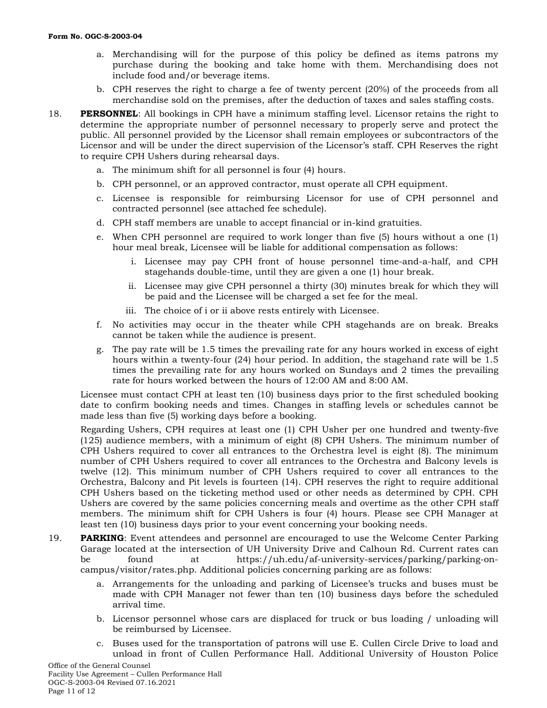- a. Merchandising will for the purpose of this policy be defined as items patrons my purchase during the booking and take home with them. Merchandising does not include food and/or beverage items.
- b. CPH reserves the right to charge a fee of twenty percent (20%) of the proceeds from all merchandise sold on the premises, after the deduction of taxes and sales staffing costs.
- 18. **PERSONNEL**: All bookings in CPH have a minimum staffing level. Licensor retains the right to determine the appropriate number of personnel necessary to properly serve and protect the public. All personnel provided by the Licensor shall remain employees or subcontractors of the Licensor and will be under the direct supervision of the Licensor's staff. CPH Reserves the right to require CPH Ushers during rehearsal days.
	- a. The minimum shift for all personnel is four (4) hours.
	- b. CPH personnel, or an approved contractor, must operate all CPH equipment.
	- c. Licensee is responsible for reimbursing Licensor for use of CPH personnel and contracted personnel (see attached fee schedule).
	- d. CPH staff members are unable to accept financial or in-kind gratuities.
	- e. When CPH personnel are required to work longer than five (5) hours without a one (1) hour meal break, Licensee will be liable for additional compensation as follows:
		- i. Licensee may pay CPH front of house personnel time-and-a-half, and CPH stagehands double-time, until they are given a one (1) hour break.
		- ii. Licensee may give CPH personnel a thirty (30) minutes break for which they will be paid and the Licensee will be charged a set fee for the meal.
		- iii. The choice of i or ii above rests entirely with Licensee.
	- f. No activities may occur in the theater while CPH stagehands are on break. Breaks cannot be taken while the audience is present.
	- g. The pay rate will be 1.5 times the prevailing rate for any hours worked in excess of eight hours within a twenty-four (24) hour period. In addition, the stagehand rate will be 1.5 times the prevailing rate for any hours worked on Sundays and 2 times the prevailing rate for hours worked between the hours of 12:00 AM and 8:00 AM.

Licensee must contact CPH at least ten (10) business days prior to the first scheduled booking date to confirm booking needs and times. Changes in staffing levels or schedules cannot be made less than five (5) working days before a booking.

Regarding Ushers, CPH requires at least one (1) CPH Usher per one hundred and twenty-five (125) audience members, with a minimum of eight (8) CPH Ushers. The minimum number of CPH Ushers required to cover all entrances to the Orchestra level is eight (8). The minimum number of CPH Ushers required to cover all entrances to the Orchestra and Balcony levels is twelve (12). This minimum number of CPH Ushers required to cover all entrances to the Orchestra, Balcony and Pit levels is fourteen (14). CPH reserves the right to require additional CPH Ushers based on the ticketing method used or other needs as determined by CPH. CPH Ushers are covered by the same policies concerning meals and overtime as the other CPH staff members. The minimum shift for CPH Ushers is four (4) hours. Please see CPH Manager at least ten (10) business days prior to your event concerning your booking needs.

- 19. **PARKING**: Event attendees and personnel are encouraged to use the Welcome Center Parking Garage located at the intersection of UH University Drive and Calhoun Rd. Current rates can be found at https://uh.edu/af-university-services/parking/parking-oncampus/visitor/rates.php. Additional policies concerning parking are as follows:
	- a. Arrangements for the unloading and parking of Licensee's trucks and buses must be made with CPH Manager not fewer than ten (10) business days before the scheduled arrival time.
	- b. Licensor personnel whose cars are displaced for truck or bus loading / unloading will be reimbursed by Licensee.
	- c. Buses used for the transportation of patrons will use E. Cullen Circle Drive to load and unload in front of Cullen Performance Hall. Additional University of Houston Police